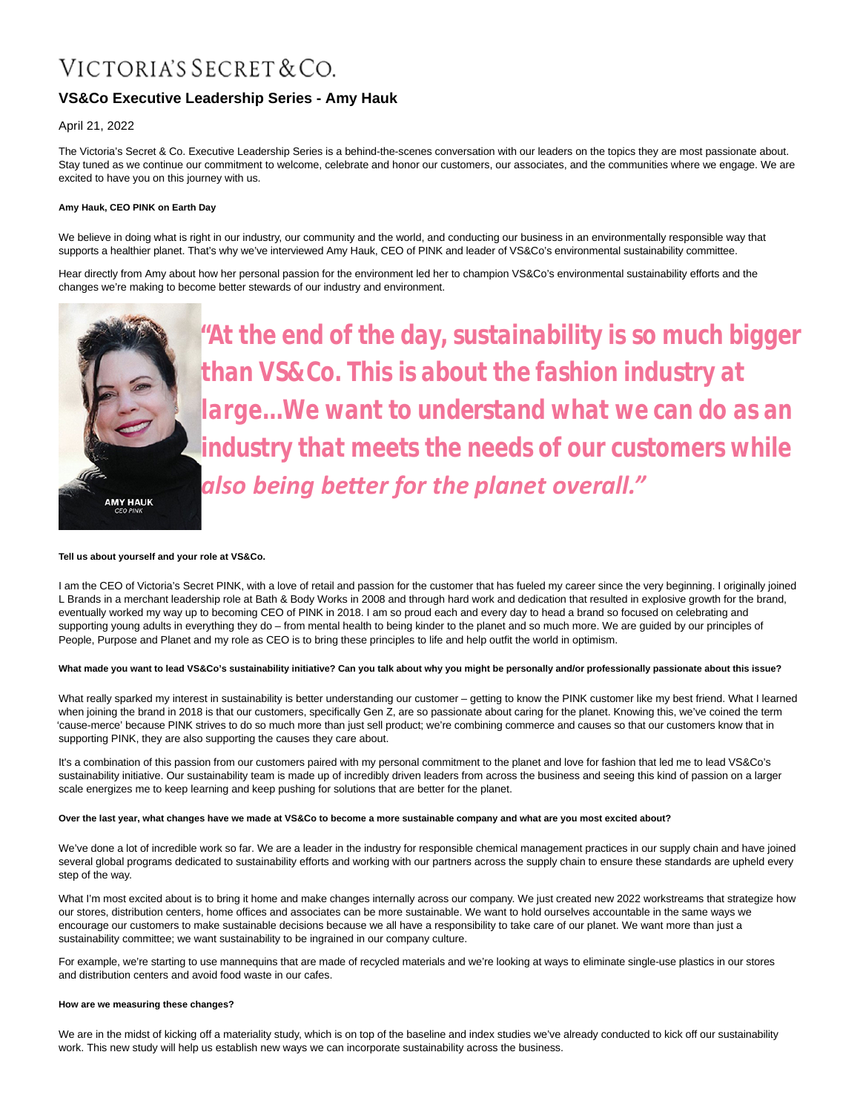# VICTORIA'S SECRET & CO.

# **VS&Co Executive Leadership Series - Amy Hauk**

# April 21, 2022

The Victoria's Secret & Co. Executive Leadership Series is a behind-the-scenes conversation with our leaders on the topics they are most passionate about. Stay tuned as we continue our commitment to welcome, celebrate and honor our customers, our associates, and the communities where we engage. We are excited to have you on this journey with us.

# **Amy Hauk, CEO PINK on Earth Day**

We believe in doing what is right in our industry, our community and the world, and conducting our business in an environmentally responsible way that supports a healthier planet. That's why we've interviewed Amy Hauk, CEO of PINK and leader of VS&Co's environmental sustainability committee.

Hear directly from Amy about how her personal passion for the environment led her to champion VS&Co's environmental sustainability efforts and the changes we're making to become better stewards of our industry and environment.



*"At the end of the day, sustainability is so much bigger than VS&Co. This is about the fashion industry at large…We want to understand what we can do as an industry that meets the needs of our customers while* **also being better for the planet overall."** 

# **Tell us about yourself and your role at VS&Co.**

I am the CEO of Victoria's Secret PINK, with a love of retail and passion for the customer that has fueled my career since the very beginning. I originally joined L Brands in a merchant leadership role at Bath & Body Works in 2008 and through hard work and dedication that resulted in explosive growth for the brand, eventually worked my way up to becoming CEO of PINK in 2018. I am so proud each and every day to head a brand so focused on celebrating and supporting young adults in everything they do – from mental health to being kinder to the planet and so much more. We are guided by our principles of People, Purpose and Planet and my role as CEO is to bring these principles to life and help outfit the world in optimism.

# **What made you want to lead VS&Co's sustainability initiative? Can you talk about why you might be personally and/or professionally passionate about this issue?**

What really sparked my interest in sustainability is better understanding our customer – getting to know the PINK customer like my best friend. What I learned when joining the brand in 2018 is that our customers, specifically Gen Z, are so passionate about caring for the planet. Knowing this, we've coined the term 'cause-merce' because PINK strives to do so much more than just sell product; we're combining commerce and causes so that our customers know that in supporting PINK, they are also supporting the causes they care about.

It's a combination of this passion from our customers paired with my personal commitment to the planet and love for fashion that led me to lead VS&Co's sustainability initiative. Our sustainability team is made up of incredibly driven leaders from across the business and seeing this kind of passion on a larger scale energizes me to keep learning and keep pushing for solutions that are better for the planet.

#### **Over the last year, what changes have we made at VS&Co to become a more sustainable company and what are you most excited about?**

We've done a lot of incredible work so far. We are a leader in the industry for responsible chemical management practices in our supply chain and have joined several global programs dedicated to sustainability efforts and working with our partners across the supply chain to ensure these standards are upheld every step of the way.

What I'm most excited about is to bring it home and make changes internally across our company. We just created new 2022 workstreams that strategize how our stores, distribution centers, home offices and associates can be more sustainable. We want to hold ourselves accountable in the same ways we encourage our customers to make sustainable decisions because we all have a responsibility to take care of our planet. We want more than just a sustainability committee; we want sustainability to be ingrained in our company culture.

For example, we're starting to use mannequins that are made of recycled materials and we're looking at ways to eliminate single-use plastics in our stores and distribution centers and avoid food waste in our cafes.

# **How are we measuring these changes?**

We are in the midst of kicking off a materiality study, which is on top of the baseline and index studies we've already conducted to kick off our sustainability work. This new study will help us establish new ways we can incorporate sustainability across the business.